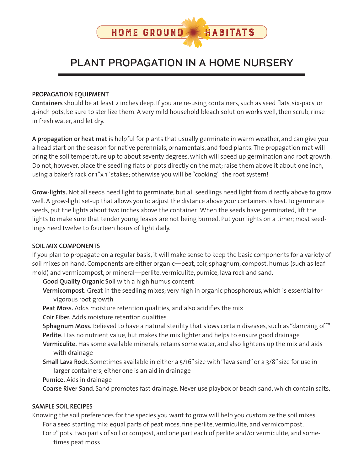

# PLANT PROPAGATION IN A HOME NURSERY

#### **PROPAGATION EQUIPMENT**

**Containers** should be at least 2 inches deep. If you are re-using containers, such as seed flats, six-pacs, or 4-inch pots, be sure to sterilize them. A very mild household bleach solution works well, then scrub, rinse in fresh water, and let dry.

**A propagation or heat mat** is helpful for plants that usually germinate in warm weather, and can give you a head start on the season for native perennials, ornamentals, and food plants. The propagation mat will bring the soil temperature up to about seventy degrees, which will speed up germination and root growth. Do not, however, place the seedling flats or pots directly on the mat; raise them above it about one inch, using a baker's rack or 1"x 1" stakes; otherwise you will be "cooking" the root system!

**Grow-lights.** Not all seeds need light to germinate, but all seedlings need light from directly above to grow well. A grow-light set-up that allows you to adjust the distance above your containers is best. To germinate seeds, put the lights about two inches above the container. When the seeds have germinated, lift the lights to make sure that tender young leaves are not being burned. Put your lights on a timer; most seedlings need twelve to fourteen hours of light daily.

### **SOIL MIX COMPONENTS**

If you plan to propagate on a regular basis, it will make sense to keep the basic components for a variety of soil mixes on hand. Components are either organic—peat, coir, sphagnum, compost, humus (such as leaf mold) and vermicompost, or mineral—perlite, vermiculite, pumice, lava rock and sand.

**Good Quality Organic Soil** with a high humus content

- **Vermicompost.** Great in the seedling mixes; very high in organic phosphorous, which is essential for vigorous root growth
- **Peat Moss.** Adds moisture retention qualities, and also acidifies the mix
- **Coir Fiber.** Adds moisture retention qualities
- **Sphagnum Moss.** Believed to have a natural sterility that slows certain diseases, such as "damping off" **Perlite.** Has no nutrient value, but makes the mix lighter and helps to ensure good drainage
- **Vermiculite.** Has some available minerals, retains some water, and also lightens up the mix and aids with drainage
- **Small Lava Rock.** Sometimes available in either a 5/16" size with "lava sand" or a 3/8" size for use in larger containers; either one is an aid in drainage

**Pumice.** Aids in drainage

**Coarse River Sand**. Sand promotes fast drainage. Never use playbox or beach sand, which contain salts.

### **SAMPLE SOIL RECIPES**

Knowing the soil preferences for the species you want to grow will help you customize the soil mixes. For a seed starting mix: equal parts of peat moss, fine perlite, vermiculite, and vermicompost.

For 2" pots: two parts of soil or compost, and one part each of perlite and/or vermiculite, and sometimes peat moss